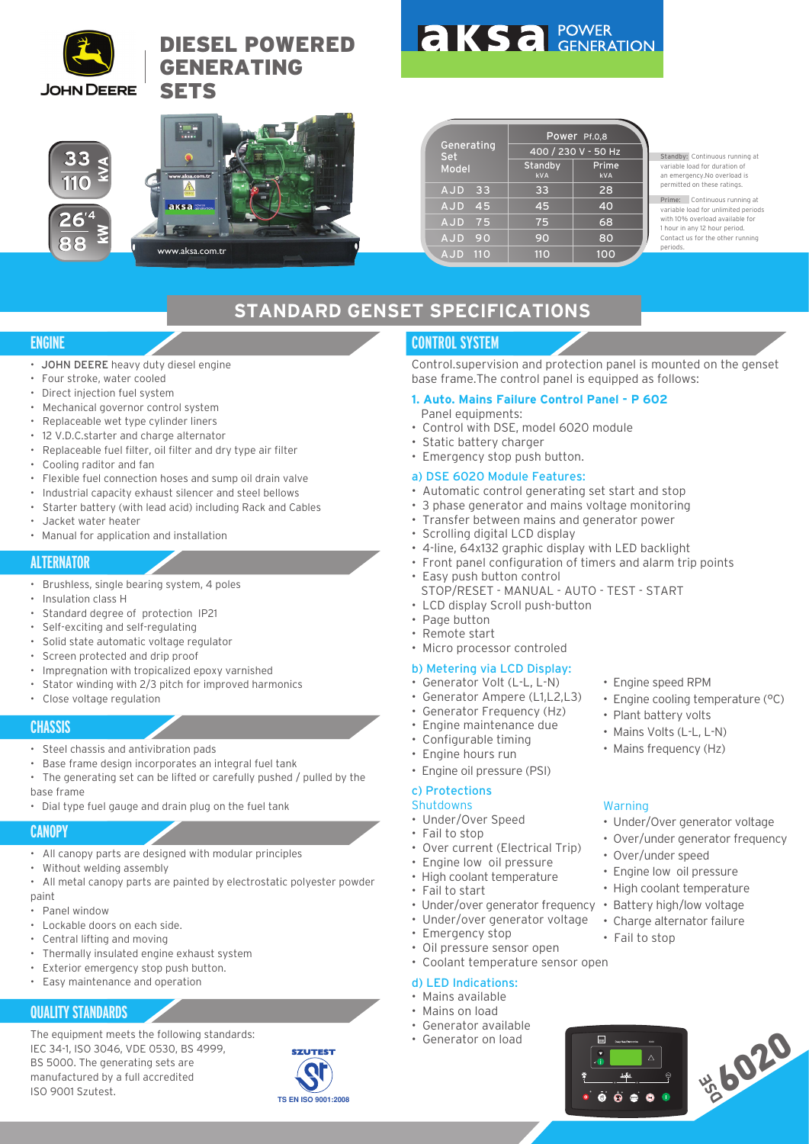

**33 110**

**33 110**

**26, 4**

26<sup>'4</sup><br>88

**88**

# DIESEL POWERED GENERATING **SETS**



Standby: Continuous running at variable load for duration of an emergency.No overload is permitted on these ratings.

Prime: Continuous running at variable load for unlimited periods with 10% overload available for 1 hour in any 12 hour period. Contact us for the other running periods.

# **STANDARD GENSET SPECIFICATIONS**

#### **ENGINE**

- JOHN DEERE heavy duty diesel engine
- Four stroke, water cooled
- Direct injection fuel system
- Mechanical governor control system
- Replaceable wet type cylinder liners
- 12 V.D.C.starter and charge alternator
- Replaceable fuel filter, oil filter and dry type air filter
- Cooling raditor and fan
- Flexible fuel connection hoses and sump oil drain valve

www.aksa.com.ti

- Industrial capacity exhaust silencer and steel bellows
- Starter battery (with lead acid) including Rack and Cables
- Jacket water heater
- Manual for application and installation

# **ALTERNATOR**

- Brushless, single bearing system, 4 poles
- Insulation class H
- Standard degree of protection IP21
- Self-exciting and self-regulating
- Solid state automatic voltage regulator
- Screen protected and drip proof
- Impregnation with tropicalized epoxy varnished
- Stator winding with 2/3 pitch for improved harmonics
- Close voltage regulation

#### **CHASSIS**

- Steel chassis and antivibration pads
- Base frame design incorporates an integral fuel tank
- The generating set can be lifted or carefully pushed / pulled by the base frame
- Dial type fuel gauge and drain plug on the fuel tank

## **CANOPY**

- All canopy parts are designed with modular principles
- Without welding assembly
- All metal canopy parts are painted by electrostatic polyester powder paint
- Panel window
- Lockable doors on each side.
- Central lifting and moving
- Thermally insulated engine exhaust system
- Exterior emergency stop push button.
- Easy maintenance and operation

# **QUALITY STANDARDS**

The equipment meets the following standards: IEC 34-1, ISO 3046, VDE 0530, BS 4999, BS 5000. The generating sets are manufactured by a full accredited ISO 9001 Szutest.



# **CONTROL SYSTEM**

Generating Set

AJD 33 AJD 45 AJD 75 AJD 90

Model Standby

Control.supervision and protection panel is mounted on the genset base frame.The control panel is equipped as follows:

Power Pf.0,8

400 / 230 V - 50 Hz kVA kVA

Prime

#### **1. Auto. Mains Failure Control Panel - P 602**

- Panel equipments: • Control with DSE, model 6020 module
- Static battery charger
- Emergency stop push button.

#### a) DSE 6020 Module Features:

- Automatic control generating set start and stop
- 3 phase generator and mains voltage monitoring
- Transfer between mains and generator power
- Scrolling digital LCD display
- 4-line, 64x132 graphic display with LED backlight
- Front panel configuration of timers and alarm trip points
- Easy push button control
	- STOP/RESET MANUAL AUTO TEST START
- LCD display Scroll push-button
- Page button
- Remote start
- Micro processor controled

#### b) Metering via LCD Display:

- Generator Volt (L-L, L-N)
- Generator Ampere (L1,L2,L3)
- Generator Frequency (Hz)
- Engine maintenance due
- Configurable timing
- Engine hours run
- Engine oil pressure (PSI)

#### c) Protections

- Shutdowns
- Under/Over Speed
- Fail to stop
- Over current (Electrical Trip)
- Engine low oil pressure
- High coolant temperature
- Fail to start
- Under/over generator frequency
- Under/over generator voltage
- Emergency stop
- Oil pressure sensor open
- Coolant temperature sensor open

#### d) LED Indications:

- Mains available
- Mains on load
- Generator available
- Generator on load



- Engine cooling temperature (°C)
- Plant battery volts
- Mains Volts (L-L, L-N)
- Mains frequency (Hz)

• Over/under speed • Engine low oil pressure • High coolant temperature • Battery high/low voltage • Charge alternator failure

• Fail to stop

 $\ddot{\bullet}$  $\dot{\bullet}$  $\dot{\bullet}$  $\bullet$  $\bullet$ 

**DSE** Deep Sea Electronics 6021

## Warning

• Under/Over generator voltage • Over/under generator frequency

\*6020